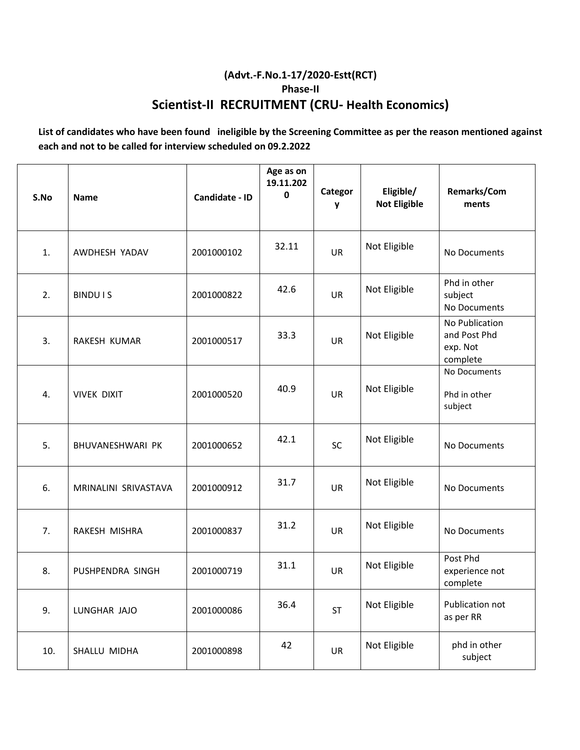## **(Advt.-F.No.1-17/2020-Estt(RCT) Phase-II Scientist-II RECRUITMENT (CRU- Health Economics)**

**List of candidates who have been found ineligible by the Screening Committee as per the reason mentioned against each and not to be called for interview scheduled on 09.2.2022** 

| S.No | <b>Name</b>          | Candidate - ID | Age as on<br>19.11.202<br>$\mathbf{0}$ | Categor<br>y | Eligible/<br><b>Not Eligible</b> | Remarks/Com<br>ments                                   |
|------|----------------------|----------------|----------------------------------------|--------------|----------------------------------|--------------------------------------------------------|
| 1.   | AWDHESH YADAV        | 2001000102     | 32.11                                  | <b>UR</b>    | Not Eligible                     | No Documents                                           |
| 2.   | <b>BINDUIS</b>       | 2001000822     | 42.6                                   | <b>UR</b>    | Not Eligible                     | Phd in other<br>subject<br>No Documents                |
| 3.   | RAKESH KUMAR         | 2001000517     | 33.3                                   | UR           | Not Eligible                     | No Publication<br>and Post Phd<br>exp. Not<br>complete |
| 4.   | <b>VIVEK DIXIT</b>   | 2001000520     | 40.9                                   | <b>UR</b>    | Not Eligible                     | No Documents<br>Phd in other<br>subject                |
| 5.   | BHUVANESHWARI PK     | 2001000652     | 42.1                                   | SC           | Not Eligible                     | No Documents                                           |
| 6.   | MRINALINI SRIVASTAVA | 2001000912     | 31.7                                   | <b>UR</b>    | Not Eligible                     | No Documents                                           |
| 7.   | RAKESH MISHRA        | 2001000837     | 31.2                                   | <b>UR</b>    | Not Eligible                     | No Documents                                           |
| 8.   | PUSHPENDRA SINGH     | 2001000719     | 31.1                                   | <b>UR</b>    | Not Eligible                     | Post Phd<br>experience not<br>complete                 |
| 9.   | LUNGHAR JAJO         | 2001000086     | 36.4                                   | <b>ST</b>    | Not Eligible                     | Publication not<br>as per RR                           |
| 10.  | SHALLU MIDHA         | 2001000898     | 42                                     | UR           | Not Eligible                     | phd in other<br>subject                                |